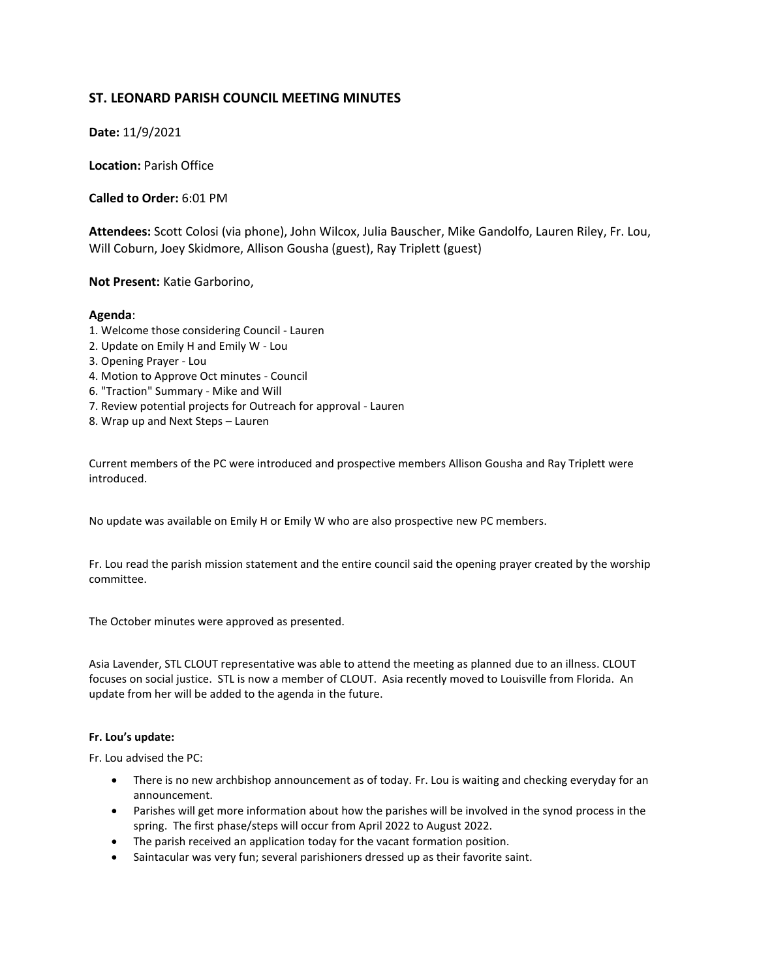# **ST. LEONARD PARISH COUNCIL MEETING MINUTES**

**Date:** 11/9/2021

**Location:** Parish Office

**Called to Order:** 6:01 PM

**Attendees:** Scott Colosi (via phone), John Wilcox, Julia Bauscher, Mike Gandolfo, Lauren Riley, Fr. Lou, Will Coburn, Joey Skidmore, Allison Gousha (guest), Ray Triplett (guest)

**Not Present:** Katie Garborino,

## **Agenda**:

- 1. Welcome those considering Council Lauren
- 2. Update on Emily H and Emily W Lou
- 3. Opening Prayer Lou
- 4. Motion to Approve Oct minutes Council
- 6. "Traction" Summary Mike and Will
- 7. Review potential projects for Outreach for approval Lauren
- 8. Wrap up and Next Steps Lauren

Current members of the PC were introduced and prospective members Allison Gousha and Ray Triplett were introduced.

No update was available on Emily H or Emily W who are also prospective new PC members.

Fr. Lou read the parish mission statement and the entire council said the opening prayer created by the worship committee.

The October minutes were approved as presented.

Asia Lavender, STL CLOUT representative was able to attend the meeting as planned due to an illness. CLOUT focuses on social justice. STL is now a member of CLOUT. Asia recently moved to Louisville from Florida. An update from her will be added to the agenda in the future.

#### **Fr. Lou's update:**

Fr. Lou advised the PC:

- There is no new archbishop announcement as of today. Fr. Lou is waiting and checking everyday for an announcement.
- Parishes will get more information about how the parishes will be involved in the synod process in the spring. The first phase/steps will occur from April 2022 to August 2022.
- The parish received an application today for the vacant formation position.
- Saintacular was very fun; several parishioners dressed up as their favorite saint.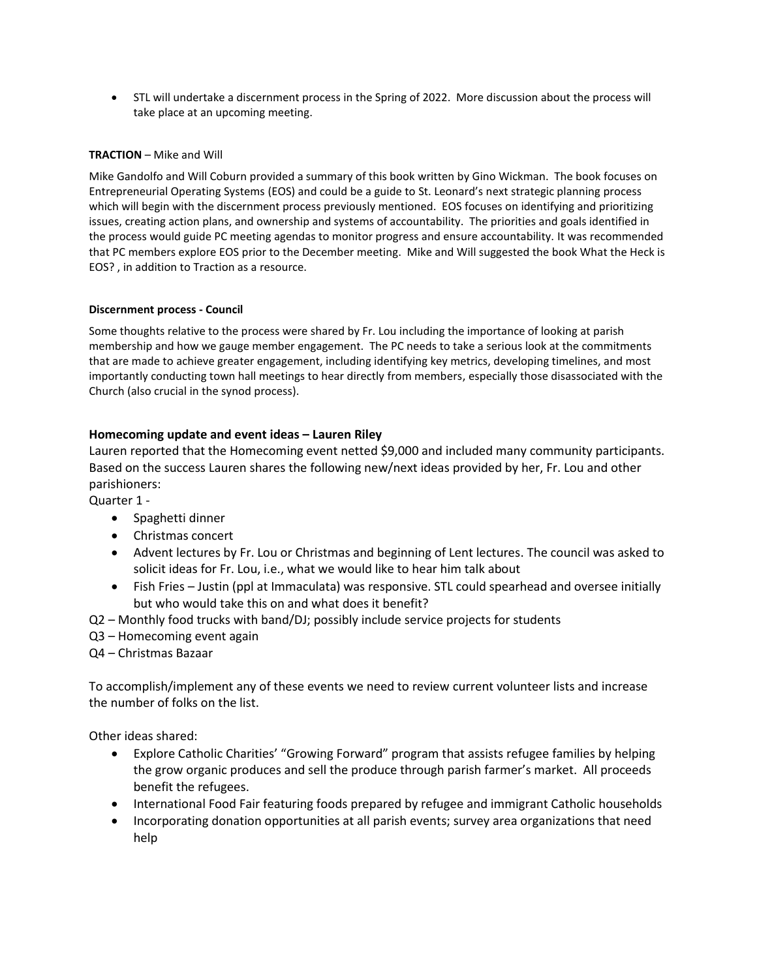• STL will undertake a discernment process in the Spring of 2022. More discussion about the process will take place at an upcoming meeting.

#### **TRACTION** – Mike and Will

Mike Gandolfo and Will Coburn provided a summary of this book written by Gino Wickman. The book focuses on Entrepreneurial Operating Systems (EOS) and could be a guide to St. Leonard's next strategic planning process which will begin with the discernment process previously mentioned. EOS focuses on identifying and prioritizing issues, creating action plans, and ownership and systems of accountability. The priorities and goals identified in the process would guide PC meeting agendas to monitor progress and ensure accountability. It was recommended that PC members explore EOS prior to the December meeting. Mike and Will suggested the book What the Heck is EOS? , in addition to Traction as a resource.

## **Discernment process - Council**

Some thoughts relative to the process were shared by Fr. Lou including the importance of looking at parish membership and how we gauge member engagement. The PC needs to take a serious look at the commitments that are made to achieve greater engagement, including identifying key metrics, developing timelines, and most importantly conducting town hall meetings to hear directly from members, especially those disassociated with the Church (also crucial in the synod process).

# **Homecoming update and event ideas – Lauren Riley**

Lauren reported that the Homecoming event netted \$9,000 and included many community participants. Based on the success Lauren shares the following new/next ideas provided by her, Fr. Lou and other parishioners:

Quarter 1 -

- Spaghetti dinner
- Christmas concert
- Advent lectures by Fr. Lou or Christmas and beginning of Lent lectures. The council was asked to solicit ideas for Fr. Lou, i.e., what we would like to hear him talk about
- Fish Fries Justin (ppl at Immaculata) was responsive. STL could spearhead and oversee initially but who would take this on and what does it benefit?
- Q2 Monthly food trucks with band/DJ; possibly include service projects for students
- Q3 Homecoming event again
- Q4 Christmas Bazaar

To accomplish/implement any of these events we need to review current volunteer lists and increase the number of folks on the list.

Other ideas shared:

- Explore Catholic Charities' "Growing Forward" program that assists refugee families by helping the grow organic produces and sell the produce through parish farmer's market. All proceeds benefit the refugees.
- International Food Fair featuring foods prepared by refugee and immigrant Catholic households
- Incorporating donation opportunities at all parish events; survey area organizations that need help